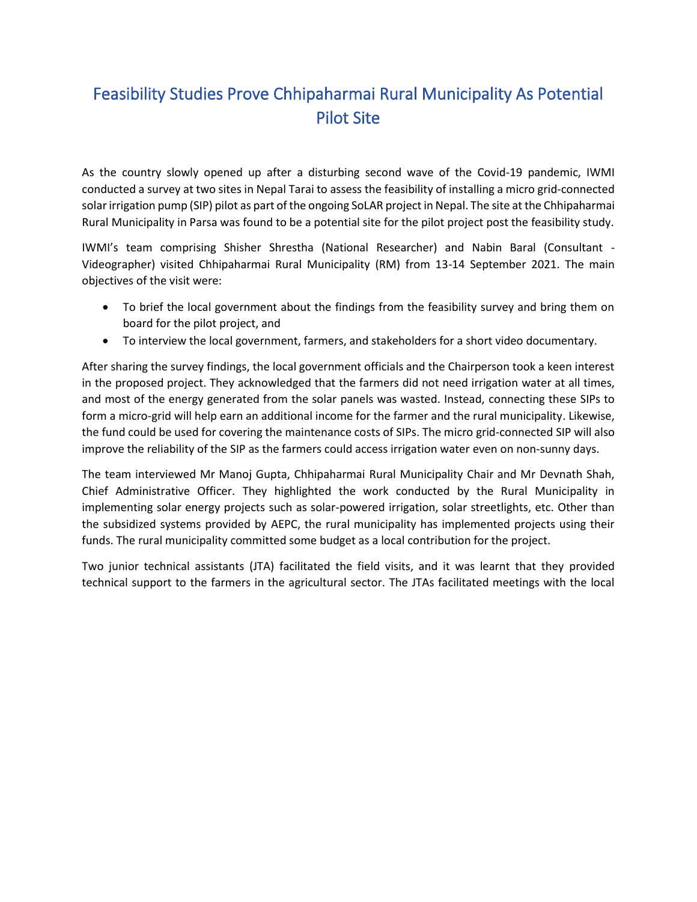## Feasibility Studies Prove Chhipaharmai Rural Municipality As Potential Pilot Site

As the country slowly opened up after a disturbing second wave of the Covid-19 pandemic, IWMI conducted a survey at two sites in Nepal Tarai to assess the feasibility of installing a micro grid-connected solar irrigation pump (SIP) pilot as part of the ongoing SoLAR project in Nepal. The site at the Chhipaharmai Rural Municipality in Parsa was found to be a potential site for the pilot project post the feasibility study.

IWMI's team comprising Shisher Shrestha (National Researcher) and Nabin Baral (Consultant - Videographer) visited Chhipaharmai Rural Municipality (RM) from 13-14 September 2021. The main objectives of the visit were:

- To brief the local government about the findings from the feasibility survey and bring them on board for the pilot project, and
- To interview the local government, farmers, and stakeholders for a short video documentary.

After sharing the survey findings, the local government officials and the Chairperson took a keen interest in the proposed project. They acknowledged that the farmers did not need irrigation water at all times, and most of the energy generated from the solar panels was wasted. Instead, connecting these SIPs to form a micro-grid will help earn an additional income for the farmer and the rural municipality. Likewise, the fund could be used for covering the maintenance costs of SIPs. The micro grid-connected SIP will also improve the reliability of the SIP as the farmers could access irrigation water even on non-sunny days.

The team interviewed Mr Manoj Gupta, Chhipaharmai Rural Municipality Chair and Mr Devnath Shah, Chief Administrative Officer. They highlighted the work conducted by the Rural Municipality in implementing solar energy projects such as solar-powered irrigation, solar streetlights, etc. Other than the subsidized systems provided by AEPC, the rural municipality has implemented projects using their funds. The rural municipality committed some budget as a local contribution for the project.

Two junior technical assistants (JTA) facilitated the field visits, and it was learnt that they provided technical support to the farmers in the agricultural sector. The JTAs facilitated meetings with the local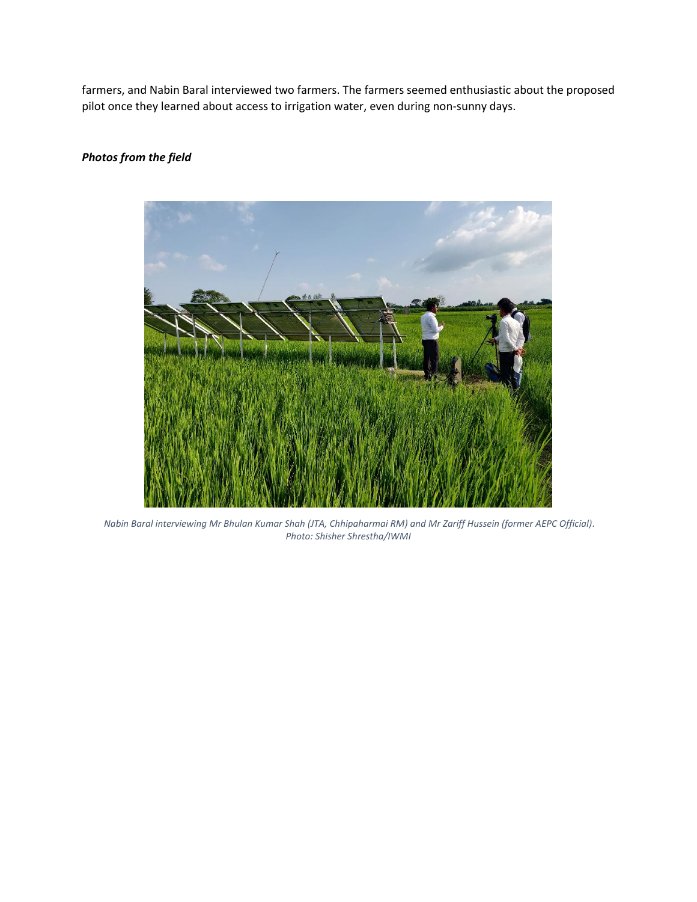farmers, and Nabin Baral interviewed two farmers. The farmers seemed enthusiastic about the proposed pilot once they learned about access to irrigation water, even during non-sunny days.

## *Photos from the field*



*Nabin Baral interviewing Mr Bhulan Kumar Shah (JTA, Chhipaharmai RM) and Mr Zariff Hussein (former AEPC Official). Photo: Shisher Shrestha/IWMI*